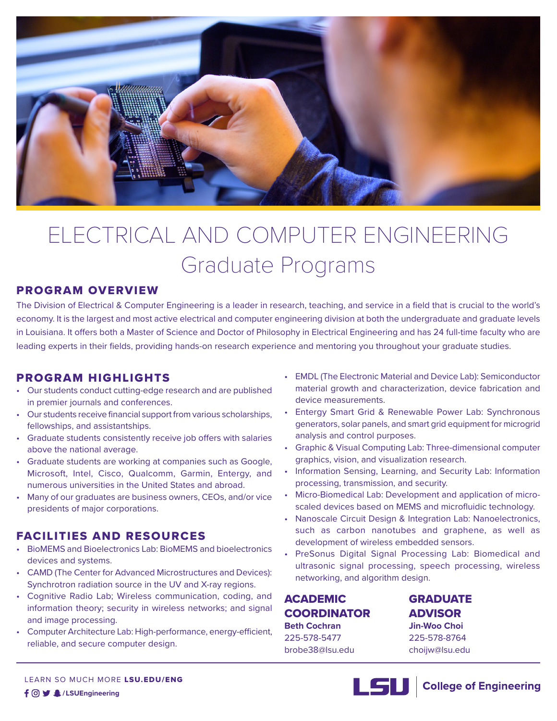

# ELECTRICAL AND COMPUTER ENGINEERING Graduate Programs

# PROGRAM OVERVIEW

The Division of Electrical & Computer Engineering is a leader in research, teaching, and service in a field that is crucial to the world's economy. It is the largest and most active electrical and computer engineering division at both the undergraduate and graduate levels in Louisiana. It offers both a Master of Science and Doctor of Philosophy in Electrical Engineering and has 24 full-time faculty who are leading experts in their fields, providing hands-on research experience and mentoring you throughout your graduate studies.

# PROGRAM HIGHLIGHTS

- Our students conduct cutting-edge research and are published in premier journals and conferences.
- Our students receive financial support from various scholarships, fellowships, and assistantships.
- Graduate students consistently receive job offers with salaries above the national average.
- Graduate students are working at companies such as Google, Microsoft, Intel, Cisco, Qualcomm, Garmin, Entergy, and numerous universities in the United States and abroad.
- Many of our graduates are business owners, CEOs, and/or vice presidents of major corporations.

# FACILITIES AND RESOURCES

- BioMEMS and Bioelectronics Lab: BioMEMS and bioelectronics devices and systems.
- CAMD (The Center for Advanced Microstructures and Devices): Synchrotron radiation source in the UV and X-ray regions.
- Cognitive Radio Lab; Wireless communication, coding, and information theory; security in wireless networks; and signal and image processing.
- Computer Architecture Lab: High-performance, energy-efficient, reliable, and secure computer design.
- EMDL (The Electronic Material and Device Lab): Semiconductor material growth and characterization, device fabrication and device measurements.
- Entergy Smart Grid & Renewable Power Lab: Synchronous generators, solar panels, and smart grid equipment for microgrid analysis and control purposes.
- Graphic & Visual Computing Lab: Three-dimensional computer graphics, vision, and visualization research.
- Information Sensing, Learning, and Security Lab: Information processing, transmission, and security.
- Micro-Biomedical Lab: Development and application of microscaled devices based on MEMS and microfluidic technology.
- Nanoscale Circuit Design & Integration Lab: Nanoelectronics, such as carbon nanotubes and graphene, as well as development of wireless embedded sensors.
- PreSonus Digital Signal Processing Lab: Biomedical and ultrasonic signal processing, speech processing, wireless networking, and algorithm design.

# ACADEMIC **COORDINATOR**

**Beth Cochran** 225-578-5477 brobe38@lsu.edu

# **GRADUATE** ADVISOR

**Jin-Woo Choi** 225-578-8764 choijw@lsu.edu